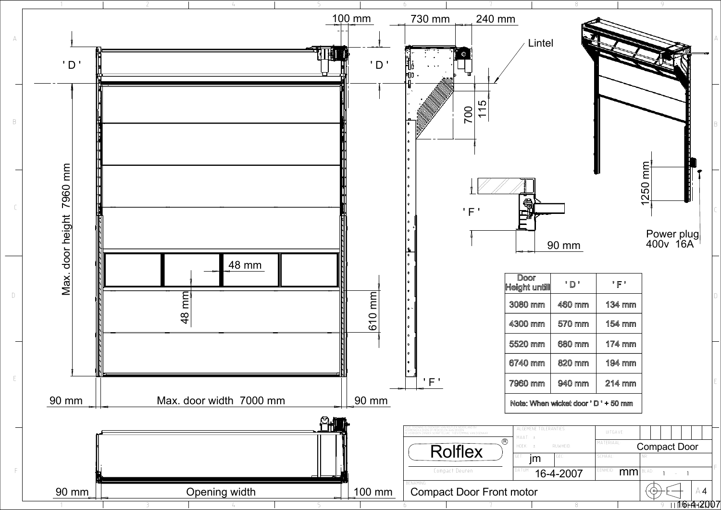